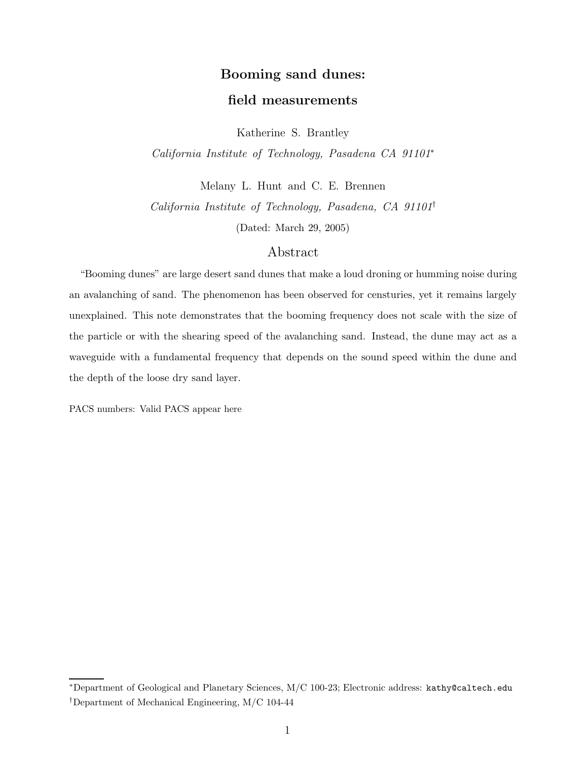## Booming sand dunes: field measurements

Katherine S. Brantley

California Institute of Technology, Pasadena CA 91101<sup>∗</sup>

Melany L. Hunt and C. E. Brennen California Institute of Technology, Pasadena, CA 91101† (Dated: March 29, 2005)

## Abstract

"Booming dunes" are large desert sand dunes that make a loud droning or humming noise during an avalanching of sand. The phenomenon has been observed for censturies, yet it remains largely unexplained. This note demonstrates that the booming frequency does not scale with the size of the particle or with the shearing speed of the avalanching sand. Instead, the dune may act as a waveguide with a fundamental frequency that depends on the sound speed within the dune and the depth of the loose dry sand layer.

PACS numbers: Valid PACS appear here

<sup>∗</sup>Department of Geological and Planetary Sciences, M/C 100-23; Electronic address: kathy@caltech.edu

<sup>†</sup>Department of Mechanical Engineering, M/C 104-44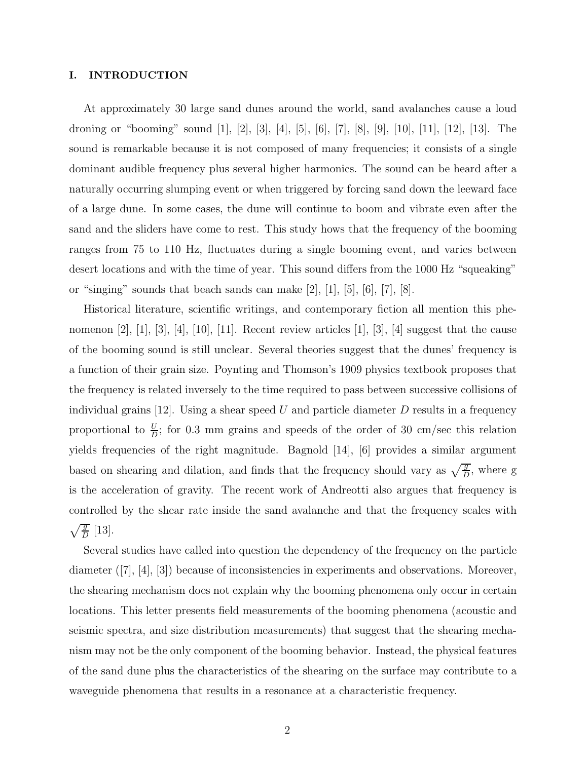## I. INTRODUCTION

At approximately 30 large sand dunes around the world, sand avalanches cause a loud droning or "booming" sound [1], [2], [3], [4], [5], [6], [7], [8], [9], [10], [11], [12], [13]. The sound is remarkable because it is not composed of many frequencies; it consists of a single dominant audible frequency plus several higher harmonics. The sound can be heard after a naturally occurring slumping event or when triggered by forcing sand down the leeward face of a large dune. In some cases, the dune will continue to boom and vibrate even after the sand and the sliders have come to rest. This study hows that the frequency of the booming ranges from 75 to 110 Hz, fluctuates during a single booming event, and varies between desert locations and with the time of year. This sound differs from the 1000 Hz "squeaking" or "singing" sounds that beach sands can make  $[2]$ ,  $[1]$ ,  $[5]$ ,  $[6]$ ,  $[7]$ ,  $[8]$ .

Historical literature, scientific writings, and contemporary fiction all mention this phenomenon  $[2]$ ,  $[1]$ ,  $[3]$ ,  $[4]$ ,  $[10]$ ,  $[11]$ . Recent review articles  $[1]$ ,  $[3]$ ,  $[4]$  suggest that the cause of the booming sound is still unclear. Several theories suggest that the dunes' frequency is a function of their grain size. Poynting and Thomson's 1909 physics textbook proposes that the frequency is related inversely to the time required to pass between successive collisions of individual grains  $[12]$ . Using a shear speed U and particle diameter D results in a frequency proportional to  $\frac{U}{D}$ ; for 0.3 mm grains and speeds of the order of 30 cm/sec this relation yields frequencies of the right magnitude. Bagnold [14], [6] provides a similar argument based on shearing and dilation, and finds that the frequency should vary as  $\sqrt{\frac{g}{D}}$ , where g is the acceleration of gravity. The recent work of Andreotti also argues that frequency is controlled by the shear rate inside the sand avalanche and that the frequency scales with  $\sqrt{\frac{g}{D}}$  [13].

Several studies have called into question the dependency of the frequency on the particle diameter ([7], [4], [3]) because of inconsistencies in experiments and observations. Moreover, the shearing mechanism does not explain why the booming phenomena only occur in certain locations. This letter presents field measurements of the booming phenomena (acoustic and seismic spectra, and size distribution measurements) that suggest that the shearing mechanism may not be the only component of the booming behavior. Instead, the physical features of the sand dune plus the characteristics of the shearing on the surface may contribute to a waveguide phenomena that results in a resonance at a characteristic frequency.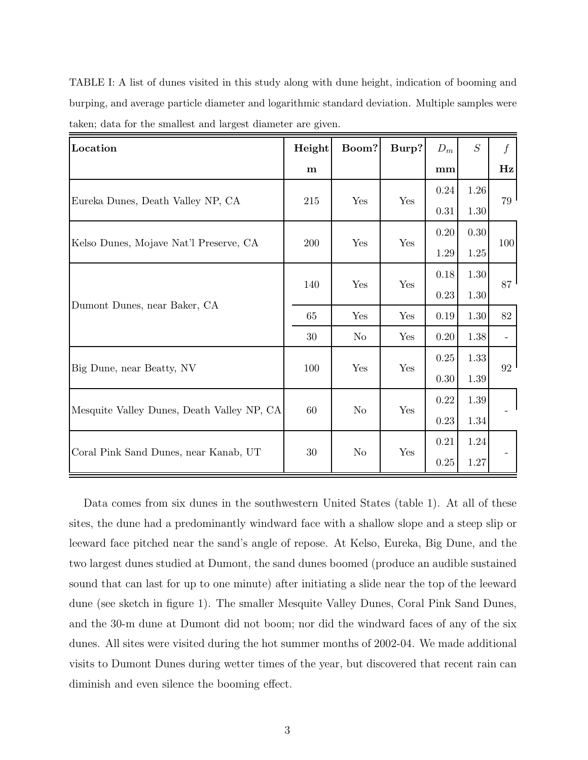| TABLE I: A list of dunes visited in this study along with dune height, indication of booming and |
|--------------------------------------------------------------------------------------------------|
| burping, and average particle diameter and logarithmic standard deviation. Multiple samples were |
| taken; data for the smallest and largest diameter are given.                                     |

| Location                                   | Height      | Boom?          | Burp? | ${\cal D}_m$ | S        | f   |
|--------------------------------------------|-------------|----------------|-------|--------------|----------|-----|
|                                            | $\mathbf m$ |                |       | mm           |          | Hz  |
| Eureka Dunes, Death Valley NP, CA          | 215         | Yes            | Yes   | 0.24         | 1.26     | 79  |
|                                            |             |                |       | 0.31         | 1.30     |     |
| Kelso Dunes, Mojave Nat'l Preserve, CA     | 200         | Yes            | Yes   | 0.20         | 0.30     | 100 |
|                                            |             |                |       | 1.29         | 1.25     |     |
| Dumont Dunes, near Baker, CA               | 140         | Yes            | Yes   | 0.18         | 1.30     | 87  |
|                                            |             |                |       | 0.23         | $1.30\,$ |     |
|                                            | 65          | Yes            | Yes   | 0.19         | 1.30     | 82  |
|                                            | 30          | $\rm No$       | Yes   | 0.20         | 1.38     |     |
| Big Dune, near Beatty, NV                  | 100         | Yes            | Yes   | 0.25         | 1.33     | 92  |
|                                            |             |                |       | 0.30         | $1.39\,$ |     |
| Mesquite Valley Dunes, Death Valley NP, CA | 60          | N <sub>o</sub> | Yes   | 0.22         | 1.39     |     |
|                                            |             |                |       | 0.23         | 1.34     |     |
| Coral Pink Sand Dunes, near Kanab, UT      | $30\,$      | No             | Yes   | 0.21         | 1.24     |     |
|                                            |             |                |       | 0.25         | 1.27     |     |

Data comes from six dunes in the southwestern United States (table 1). At all of these sites, the dune had a predominantly windward face with a shallow slope and a steep slip or leeward face pitched near the sand's angle of repose. At Kelso, Eureka, Big Dune, and the two largest dunes studied at Dumont, the sand dunes boomed (produce an audible sustained sound that can last for up to one minute) after initiating a slide near the top of the leeward dune (see sketch in figure 1). The smaller Mesquite Valley Dunes, Coral Pink Sand Dunes, and the 30-m dune at Dumont did not boom; nor did the windward faces of any of the six dunes. All sites were visited during the hot summer months of 2002-04. We made additional visits to Dumont Dunes during wetter times of the year, but discovered that recent rain can diminish and even silence the booming effect.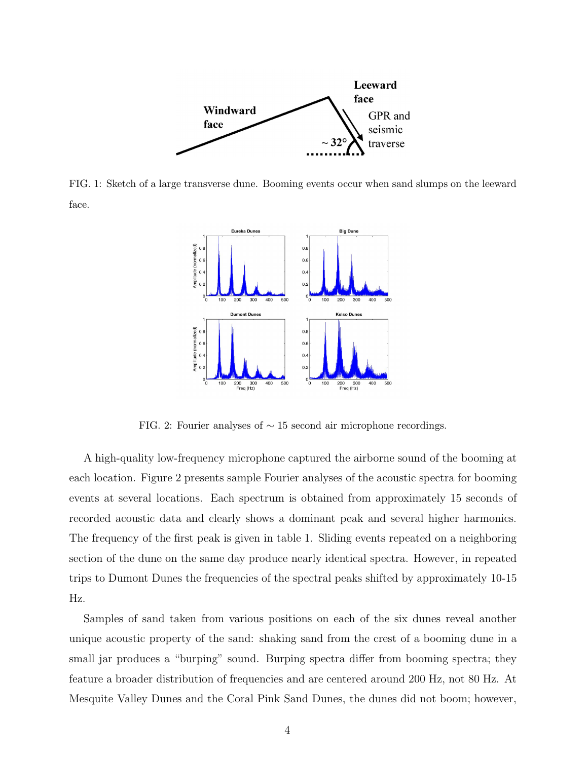

FIG. 1: Sketch of a large transverse dune. Booming events occur when sand slumps on the leeward face.



FIG. 2: Fourier analyses of ∼ 15 second air microphone recordings.

A high-quality low-frequency microphone captured the airborne sound of the booming at each location. Figure 2 presents sample Fourier analyses of the acoustic spectra for booming events at several locations. Each spectrum is obtained from approximately 15 seconds of recorded acoustic data and clearly shows a dominant peak and several higher harmonics. The frequency of the first peak is given in table 1. Sliding events repeated on a neighboring section of the dune on the same day produce nearly identical spectra. However, in repeated trips to Dumont Dunes the frequencies of the spectral peaks shifted by approximately 10-15 Hz.

Samples of sand taken from various positions on each of the six dunes reveal another unique acoustic property of the sand: shaking sand from the crest of a booming dune in a small jar produces a "burping" sound. Burping spectra differ from booming spectra; they feature a broader distribution of frequencies and are centered around 200 Hz, not 80 Hz. At Mesquite Valley Dunes and the Coral Pink Sand Dunes, the dunes did not boom; however,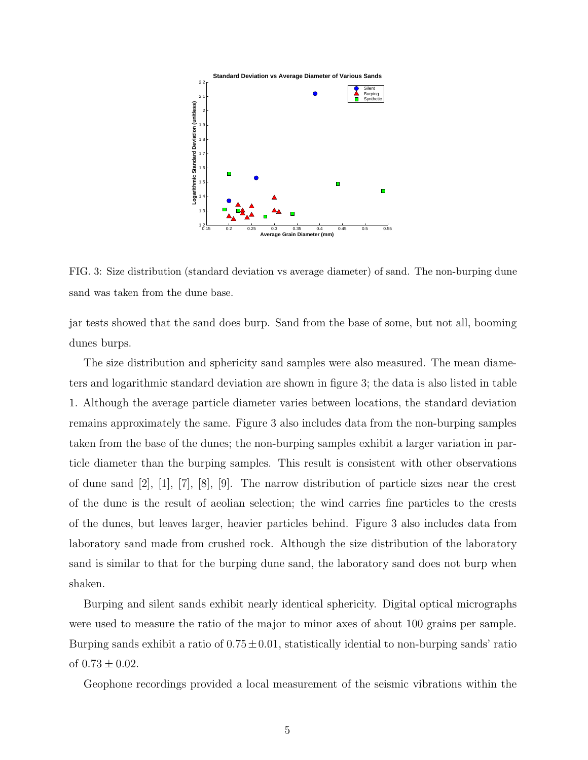

FIG. 3: Size distribution (standard deviation vs average diameter) of sand. The non-burping dune sand was taken from the dune base.

jar tests showed that the sand does burp. Sand from the base of some, but not all, booming dunes burps.

The size distribution and sphericity sand samples were also measured. The mean diameters and logarithmic standard deviation are shown in figure 3; the data is also listed in table 1. Although the average particle diameter varies between locations, the standard deviation remains approximately the same. Figure 3 also includes data from the non-burping samples taken from the base of the dunes; the non-burping samples exhibit a larger variation in particle diameter than the burping samples. This result is consistent with other observations of dune sand [2], [1], [7], [8], [9]. The narrow distribution of particle sizes near the crest of the dune is the result of aeolian selection; the wind carries fine particles to the crests of the dunes, but leaves larger, heavier particles behind. Figure 3 also includes data from laboratory sand made from crushed rock. Although the size distribution of the laboratory sand is similar to that for the burping dune sand, the laboratory sand does not burp when shaken.

Burping and silent sands exhibit nearly identical sphericity. Digital optical micrographs were used to measure the ratio of the major to minor axes of about 100 grains per sample. Burping sands exhibit a ratio of  $0.75 \pm 0.01$ , statistically idential to non-burping sands' ratio of  $0.73 \pm 0.02$ .

Geophone recordings provided a local measurement of the seismic vibrations within the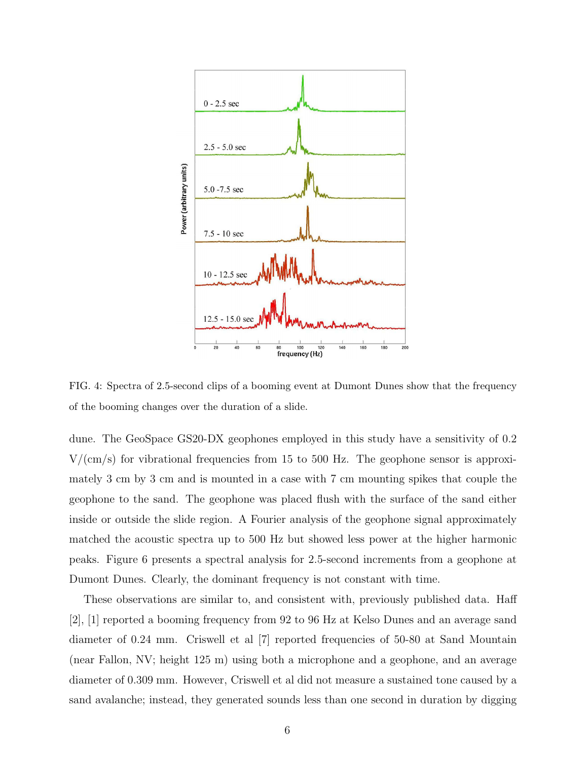

FIG. 4: Spectra of 2.5-second clips of a booming event at Dumont Dunes show that the frequency of the booming changes over the duration of a slide.

dune. The GeoSpace GS20-DX geophones employed in this study have a sensitivity of 0.2  $V/(cm/s)$  for vibrational frequencies from 15 to 500 Hz. The geophone sensor is approximately 3 cm by 3 cm and is mounted in a case with 7 cm mounting spikes that couple the geophone to the sand. The geophone was placed flush with the surface of the sand either inside or outside the slide region. A Fourier analysis of the geophone signal approximately matched the acoustic spectra up to 500 Hz but showed less power at the higher harmonic peaks. Figure 6 presents a spectral analysis for 2.5-second increments from a geophone at Dumont Dunes. Clearly, the dominant frequency is not constant with time.

These observations are similar to, and consistent with, previously published data. Haff [2], [1] reported a booming frequency from 92 to 96 Hz at Kelso Dunes and an average sand diameter of 0.24 mm. Criswell et al [7] reported frequencies of 50-80 at Sand Mountain (near Fallon, NV; height 125 m) using both a microphone and a geophone, and an average diameter of 0.309 mm. However, Criswell et al did not measure a sustained tone caused by a sand avalanche; instead, they generated sounds less than one second in duration by digging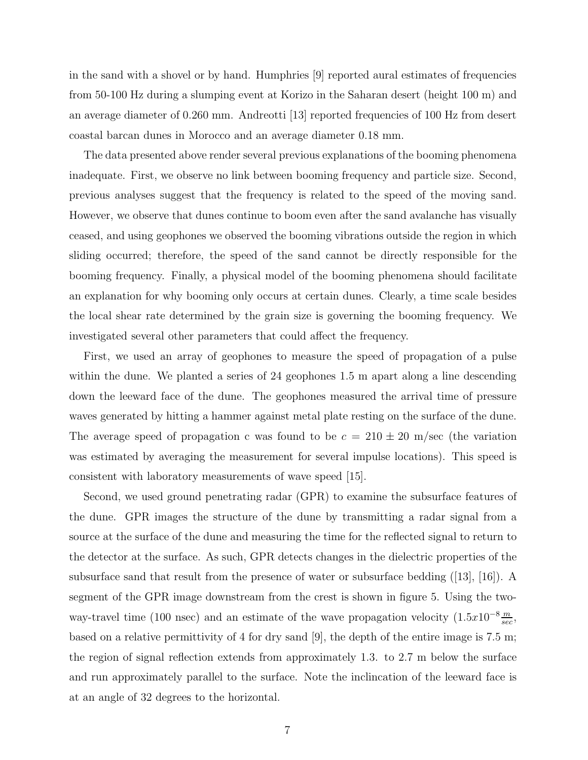in the sand with a shovel or by hand. Humphries [9] reported aural estimates of frequencies from 50-100 Hz during a slumping event at Korizo in the Saharan desert (height 100 m) and an average diameter of 0.260 mm. Andreotti [13] reported frequencies of 100 Hz from desert coastal barcan dunes in Morocco and an average diameter 0.18 mm.

The data presented above render several previous explanations of the booming phenomena inadequate. First, we observe no link between booming frequency and particle size. Second, previous analyses suggest that the frequency is related to the speed of the moving sand. However, we observe that dunes continue to boom even after the sand avalanche has visually ceased, and using geophones we observed the booming vibrations outside the region in which sliding occurred; therefore, the speed of the sand cannot be directly responsible for the booming frequency. Finally, a physical model of the booming phenomena should facilitate an explanation for why booming only occurs at certain dunes. Clearly, a time scale besides the local shear rate determined by the grain size is governing the booming frequency. We investigated several other parameters that could affect the frequency.

First, we used an array of geophones to measure the speed of propagation of a pulse within the dune. We planted a series of 24 geophones 1.5 m apart along a line descending down the leeward face of the dune. The geophones measured the arrival time of pressure waves generated by hitting a hammer against metal plate resting on the surface of the dune. The average speed of propagation c was found to be  $c = 210 \pm 20$  m/sec (the variation was estimated by averaging the measurement for several impulse locations). This speed is consistent with laboratory measurements of wave speed [15].

Second, we used ground penetrating radar (GPR) to examine the subsurface features of the dune. GPR images the structure of the dune by transmitting a radar signal from a source at the surface of the dune and measuring the time for the reflected signal to return to the detector at the surface. As such, GPR detects changes in the dielectric properties of the subsurface sand that result from the presence of water or subsurface bedding ([13], [16]). A segment of the GPR image downstream from the crest is shown in figure 5. Using the twoway-travel time (100 nsec) and an estimate of the wave propagation velocity  $(1.5x10^{-8}\frac{m}{sec})$ based on a relative permittivity of 4 for dry sand [9], the depth of the entire image is 7.5 m; the region of signal reflection extends from approximately 1.3. to 2.7 m below the surface and run approximately parallel to the surface. Note the inclincation of the leeward face is at an angle of 32 degrees to the horizontal.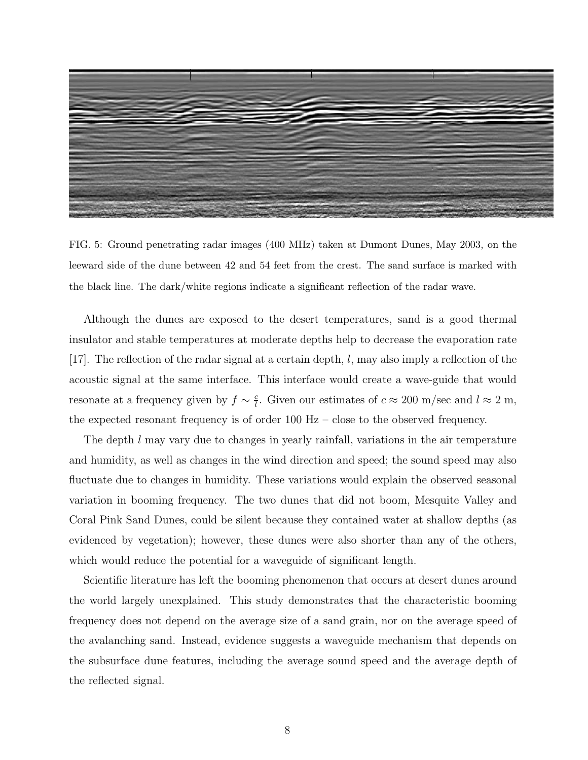

FIG. 5: Ground penetrating radar images (400 MHz) taken at Dumont Dunes, May 2003, on the leeward side of the dune between 42 and 54 feet from the crest. The sand surface is marked with the black line. The dark/white regions indicate a significant reflection of the radar wave.

Although the dunes are exposed to the desert temperatures, sand is a good thermal insulator and stable temperatures at moderate depths help to decrease the evaporation rate [17]. The reflection of the radar signal at a certain depth,  $l$ , may also imply a reflection of the acoustic signal at the same interface. This interface would create a wave-guide that would resonate at a frequency given by  $f \sim \frac{c}{l}$  $\frac{c}{l}$ . Given our estimates of  $c \approx 200$  m/sec and  $l \approx 2$  m, the expected resonant frequency is of order 100 Hz – close to the observed frequency.

The depth l may vary due to changes in yearly rainfall, variations in the air temperature and humidity, as well as changes in the wind direction and speed; the sound speed may also fluctuate due to changes in humidity. These variations would explain the observed seasonal variation in booming frequency. The two dunes that did not boom, Mesquite Valley and Coral Pink Sand Dunes, could be silent because they contained water at shallow depths (as evidenced by vegetation); however, these dunes were also shorter than any of the others, which would reduce the potential for a waveguide of significant length.

Scientific literature has left the booming phenomenon that occurs at desert dunes around the world largely unexplained. This study demonstrates that the characteristic booming frequency does not depend on the average size of a sand grain, nor on the average speed of the avalanching sand. Instead, evidence suggests a waveguide mechanism that depends on the subsurface dune features, including the average sound speed and the average depth of the reflected signal.